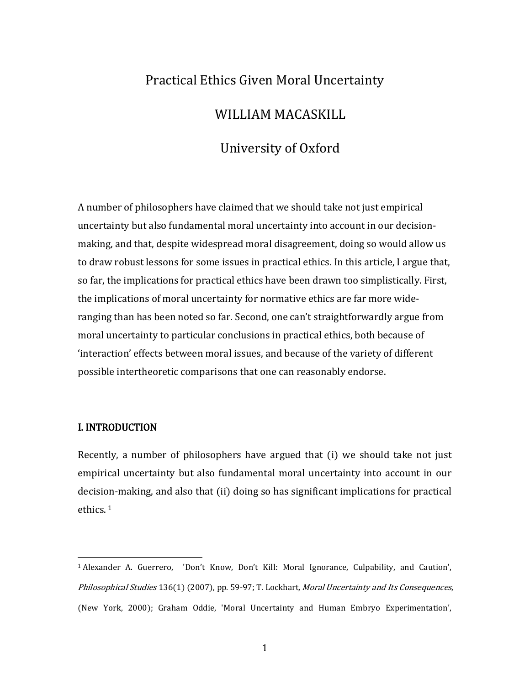# Practical Ethics Given Moral Uncertainty

## WILLIAM MACASKILL

# University of Oxford

A number of philosophers have claimed that we should take not just empirical uncertainty but also fundamental moral uncertainty into account in our decisionmaking, and that, despite widespread moral disagreement, doing so would allow us to draw robust lessons for some issues in practical ethics. In this article, I argue that, so far, the implications for practical ethics have been drawn too simplistically. First, the implications of moral uncertainty for normative ethics are far more wideranging than has been noted so far. Second, one can't straightforwardly argue from moral uncertainty to particular conclusions in practical ethics, both because of 'interaction' effects between moral issues, and because of the variety of different possible intertheoretic comparisons that one can reasonably endorse.

#### I. INTRODUCTION

Recently, a number of philosophers have argued that (i) we should take not just empirical uncertainty but also fundamental moral uncertainty into account in our decisi[on](#page-0-0)-making, and also that (ii) doing so has significant implications for practical ethics. <sup>1</sup>

<span id="page-0-0"></span><sup>1</sup> Alexander A. Guerrero, 'Don't Know, Don't Kill: Moral Ignorance, Culpability, and Caution', Philosophical Studies 136(1) (2007), pp. 59-97; T. Lockhart, Moral Uncertainty and Its Consequences, (New York, 2000); Graham Oddie, 'Moral Uncertainty and Human Embryo Experimentation', i<br>I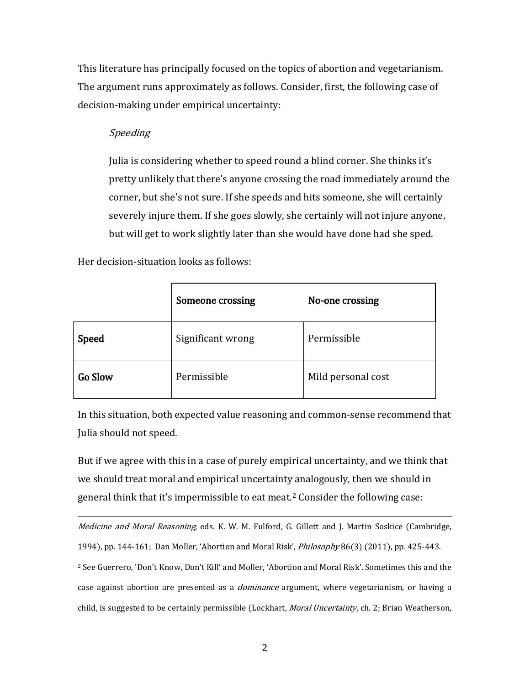This literature has principally focused on the topics of abortion and vegetarianism. The argument runs approximately as follows. Consider, first, the following case of decision-making under empirical uncertainty:

## Speeding

Julia is considering whether to speed round a blind corner. She thinks it's pretty unlikely that there's anyone crossing the road immediately around the corner, but she's not sure. If she speeds and hits someone, she will certainly severely injure them. If she goes slowly, she certainly will not injure anyone, but will get to work slightly later than she would have done had she sped.

Her decision-situation looks as follows:

|                | <b>Someone crossing</b> | No-one crossing    |
|----------------|-------------------------|--------------------|
| <b>Speed</b>   | Significant wrong       | Permissible        |
| <b>Go Slow</b> | Permissible             | Mild personal cost |

In this situation, both expected value reasoning and common-sense recommend that Julia should not speed.

But if we agree with this in a case of purely empirical uncertainty, and we think that we should treat moral and empirical uncertainty analogously, then we should in general think that it's impermissible to eat meat.<sup>[2](#page-1-0)</sup> Consider the following case:

<span id="page-1-0"></span>*Medicine and Moral Reasoning*, eds. K. W. M. Fulford, G. Gillett and J. Martin Soskice (Cambridge, 1994), pp. 144-161; Dan Moller, 'Abortion and Moral Risk', Philosophy 86(3) (2011), pp. 425-443. <sup>2</sup> See Guerrero, 'Don't Know, Don't Kill' and Moller, 'Abortion and Moral Risk'. Sometimes this and the case against abortion are presented as a *dominance* argument, where vegetarianism, or having a child, is suggested to be certainly permissible (Lockhart, *Moral Uncertainty*, ch. 2; Brian Weatherson, i<br>I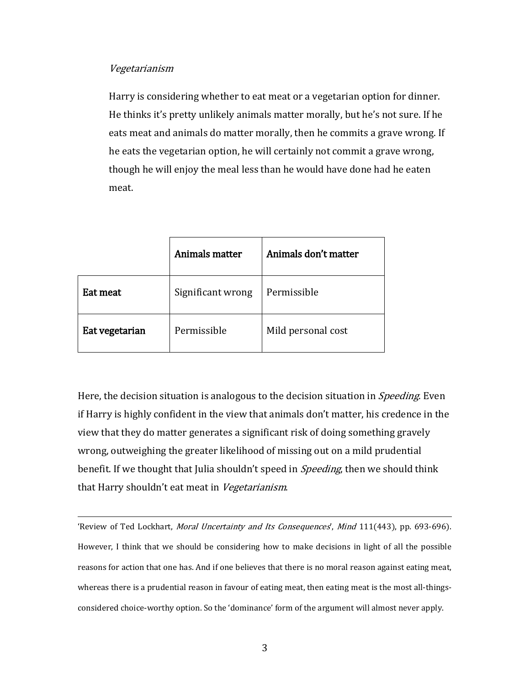#### Vegetarianism

Harry is considering whether to eat meat or a vegetarian option for dinner. He thinks it's pretty unlikely animals matter morally, but he's not sure. If he eats meat and animals do matter morally, then he commits a grave wrong. If he eats the vegetarian option, he will certainly not commit a grave wrong, though he will enjoy the meal less than he would have done had he eaten meat.

|                | Animals matter    | Animals don't matter |
|----------------|-------------------|----------------------|
| Eat meat       | Significant wrong | Permissible          |
| Eat vegetarian | Permissible       | Mild personal cost   |

Here, the decision situation is analogous to the decision situation in *Speeding*. Even if Harry is highly confident in the view that animals don't matter, his credence in the view that they do matter generates a significant risk of doing something gravely wrong, outweighing the greater likelihood of missing out on a mild prudential benefit. If we thought that Julia shouldn't speed in *Speeding*, then we should think that Harry shouldn't eat meat in Vegetarianism.

'Review of Ted Lockhart, *Moral Uncertainty and Its Consequences*', *Mind* 111(443), pp. 693-696). However, I think that we should be considering how to make decisions in light of all the possible reasons for action that one has. And if one believes that there is no moral reason against eating meat, whereas there is a prudential reason in favour of eating meat, then eating meat is the most all-thingsconsidered choice-worthy option. So the 'dominance' form of the argument will almost never apply. l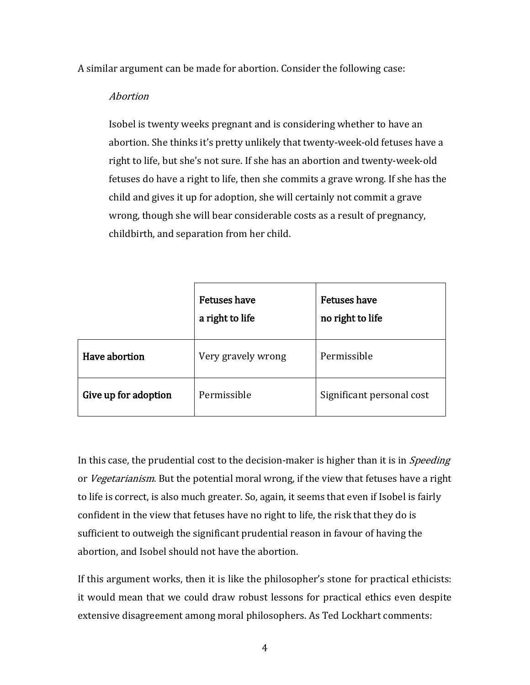A similar argument can be made for abortion. Consider the following case:

## Abortion

Isobel is twenty weeks pregnant and is considering whether to have an abortion. She thinks it's pretty unlikely that twenty-week-old fetuses have a right to life, but she's not sure. If she has an abortion and twenty-week-old fetuses do have a right to life, then she commits a grave wrong. If she has the child and gives it up for adoption, she will certainly not commit a grave wrong, though she will bear considerable costs as a result of pregnancy, childbirth, and separation from her child.

|                      | <b>Fetuses have</b><br>a right to life | <b>Fetuses have</b><br>no right to life |
|----------------------|----------------------------------------|-----------------------------------------|
| Have abortion        | Very gravely wrong                     | Permissible                             |
| Give up for adoption | Permissible                            | Significant personal cost               |

In this case, the prudential cost to the decision-maker is higher than it is in *Speeding* or Vegetarianism. But the potential moral wrong, if the view that fetuses have a right to life is correct, is also much greater. So, again, it seems that even if Isobel is fairly confident in the view that fetuses have no right to life, the risk that they do is sufficient to outweigh the significant prudential reason in favour of having the abortion, and Isobel should not have the abortion.

If this argument works, then it is like the philosopher's stone for practical ethicists: it would mean that we could draw robust lessons for practical ethics even despite extensive disagreement among moral philosophers. As Ted Lockhart comments: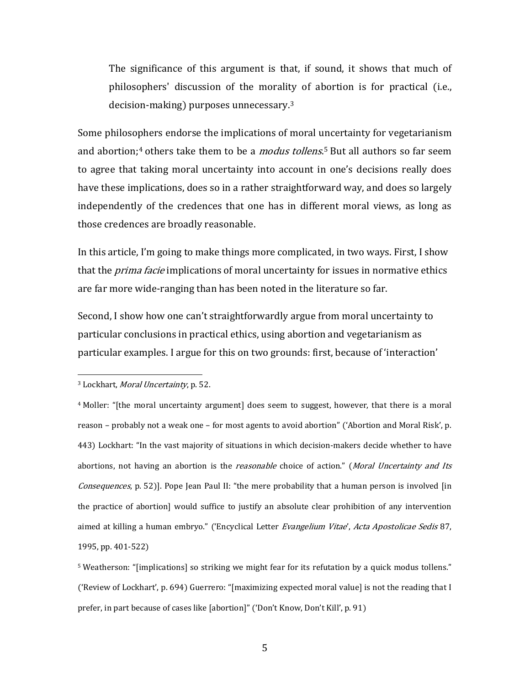The significance of this argument is that, if sound, it shows that much of philosophers' discussion of the morality of abortion is for practical (i.e., decision-making) purposes unnecessary.[3](#page-4-0)

Some philosophers endorse the implications of moral [un](#page-4-2)certainty for vegetarianism and abortion;<sup>[4](#page-4-1)</sup> others take them to be a *modus tollens*.<sup>5</sup> But all authors so far seem to agree that taking moral uncertainty into account in one's decisions really does have these implications, does so in a rather straightforward way, and does so largely independently of the credences that one has in different moral views, as long as those credences are broadly reasonable.

In this article, I'm going to make things more complicated, in two ways. First, I show that the *prima facie* implications of moral uncertainty for issues in normative ethics are far more wide-ranging than has been noted in the literature so far.

Second, I show how one can't straightforwardly argue from moral uncertainty to particular conclusions in practical ethics, using abortion and vegetarianism as particular examples. I argue for this on two grounds: first, because of 'interaction'

<span id="page-4-0"></span><sup>&</sup>lt;sup>3</sup> Lockhart, *Moral Uncertainty*, p. 52. i<br>I

<span id="page-4-1"></span><sup>&</sup>lt;sup>4</sup> Moller: "[the moral uncertainty argument] does seem to suggest, however, that there is a moral reason – probably not a weak one – for most agents to avoid abortion" ('Abortion and Moral Risk', p. 443) Lockhart: "In the vast majority of situations in which decision-makers decide whether to have abortions, not having an abortion is the *reasonable* choice of action." (Moral Uncertainty and Its Consequences, p. 52)]. Pope Jean Paul II: "the mere probability that a human person is involved [in the practice of abortion] would suffice to justify an absolute clear prohibition of any intervention aimed at killing a human embryo." ('Encyclical Letter Evangelium Vitae', Acta Apostolicae Sedis 87, 1995, pp. 401-522)

<span id="page-4-2"></span><sup>5</sup> Weatherson: "[implications] so striking we might fear for its refutation by a quick modus tollens." ('Review of Lockhart', p. 694) Guerrero: "[maximizing expected moral value] is not the reading that I prefer, in part because of cases like [abortion]" ('Don't Know, Don't Kill', p. 91)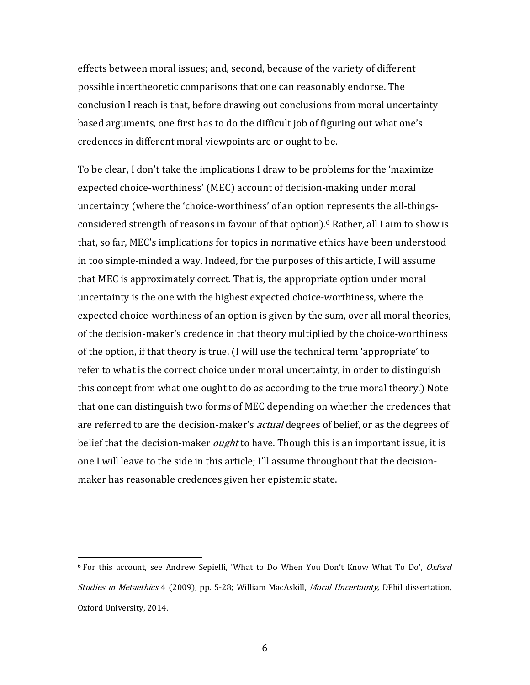effects between moral issues; and, second, because of the variety of different possible intertheoretic comparisons that one can reasonably endorse. The conclusion I reach is that, before drawing out conclusions from moral uncertainty based arguments, one first has to do the difficult job of figuring out what one's credences in different moral viewpoints are or ought to be.

To be clear, I don't take the implications I draw to be problems for the 'maximize expected choice-worthiness' (MEC) account of decision-making under moral uncertainty (where the 'choice-worthiness' of an option represents the all-thingsconsidered strength of reasons in favour of that option).[6](#page-5-0) Rather, all I aim to show is that, so far, MEC's implications for topics in normative ethics have been understood in too simple-minded a way. Indeed, for the purposes of this article, I will assume that MEC is approximately correct. That is, the appropriate option under moral uncertainty is the one with the highest expected choice-worthiness, where the expected choice-worthiness of an option is given by the sum, over all moral theories, of the decision-maker's credence in that theory multiplied by the choice-worthiness of the option, if that theory is true. (I will use the technical term 'appropriate' to refer to what is the correct choice under moral uncertainty, in order to distinguish this concept from what one ought to do as according to the true moral theory.) Note that one can distinguish two forms of MEC depending on whether the credences that are referred to are the decision-maker's *actual* degrees of belief, or as the degrees of belief that the decision-maker *ought* to have. Though this is an important issue, it is one I will leave to the side in this article; I'll assume throughout that the decisionmaker has reasonable credences given her epistemic state.

<span id="page-5-0"></span><sup>&</sup>lt;sup>6</sup> For this account, see Andrew Sepielli, 'What to Do When You Don't Know What To Do', *Oxford* Studies in Metaethics 4 (2009), pp. 5-28; William MacAskill, Moral Uncertainty, DPhil dissertation, Oxford University, 2014. i<br>I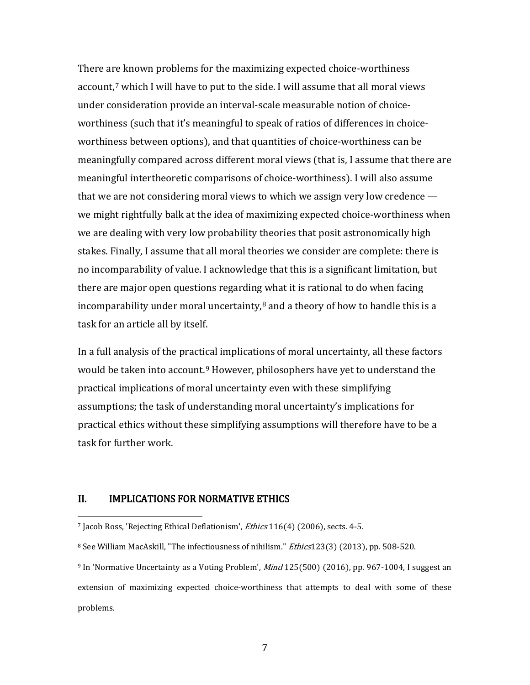There a[re](#page-6-0) known problems for the maximizing expected choice-worthiness account,<sup>7</sup> which I will have to put to the side. I will assume that all moral views under consideration provide an interval-scale measurable notion of choiceworthiness (such that it's meaningful to speak of ratios of differences in choiceworthiness between options), and that quantities of choice-worthiness can be meaningfully compared across different moral views (that is, I assume that there are meaningful intertheoretic comparisons of choice-worthiness). I will also assume that we are not considering moral views to which we assign very low credence we might rightfully balk at the idea of maximizing expected choice-worthiness when we are dealing with very low probability theories that posit astronomically high stakes. Finally, I assume that all moral theories we consider are complete: there is no incomparability of value. I acknowledge that this is a significant limitation, but there are major open questions regarding what it is rational to do when facing incomparability under moral uncertainty, $8$  and a theory of how to handle this is a task for an article all by itself.

In a full analysis of the practical implications of moral uncertainty, all these factors would be taken into account.<sup>[9](#page-6-2)</sup> However, philosophers have yet to understand the practical implications of moral uncertainty even with these simplifying assumptions; the task of understanding moral uncertainty's implications for practical ethics without these simplifying assumptions will therefore have to be a task for further work.

#### II. IMPLICATIONS FOR NORMATIVE ETHICS

<span id="page-6-0"></span><sup>&</sup>lt;sup>7</sup> Jacob Ross, 'Rejecting Ethical Deflationism', *Ethics* 116(4) (2006), sects. 4-5. i<br>I

<span id="page-6-1"></span><sup>&</sup>lt;sup>8</sup> See William MacAskill, "The infectiousness of nihilism." *Ethics*123(3) (2013), pp. 508-520.

<span id="page-6-2"></span> $9$  In 'Normative Uncertainty as a Voting Problem', *Mind*  $125(500)$  (2016), pp. 967-1004, I suggest an extension of maximizing expected choice-worthiness that attempts to deal with some of these problems.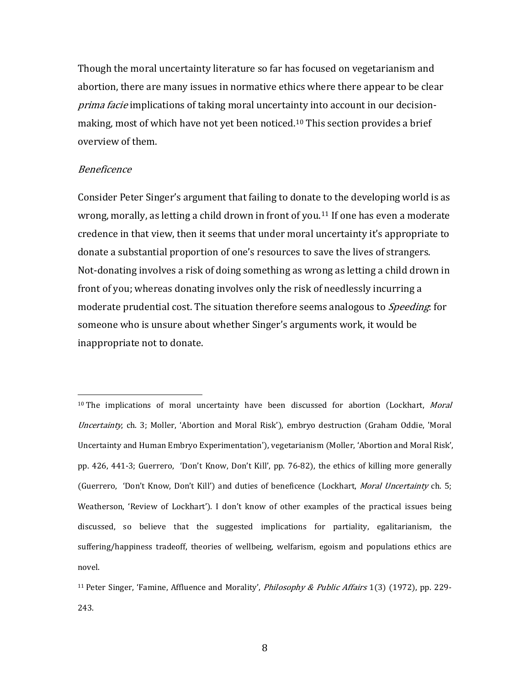Though the moral uncertainty literature so far has focused on vegetarianism and abortion, there are many issues in normative ethics where there appear to be clear prima facie implications of taking moral uncertainty into account in our decision-making, most of which have not yet been noticed.<sup>[10](#page-7-0)</sup> This section provides a brief overview of them.

#### Beneficence

Consider Peter Singer's argument that failing to donate to the developing world is as wrong, morally, as letting a child drown in front of you.[11](#page-7-1) If one has even a moderate credence in that view, then it seems that under moral uncertainty it's appropriate to donate a substantial proportion of one's resources to save the lives of strangers. Not-donating involves a risk of doing something as wrong as letting a child drown in front of you; whereas donating involves only the risk of needlessly incurring a moderate prudential cost. The situation therefore seems analogous to *Speeding*: for someone who is unsure about whether Singer's arguments work, it would be inappropriate not to donate.

<span id="page-7-0"></span><sup>&</sup>lt;sup>10</sup> The implications of moral uncertainty have been discussed for abortion (Lockhart, *Moral* Uncertainty, ch. 3; Moller, 'Abortion and Moral Risk'), embryo destruction (Graham Oddie, 'Moral Uncertainty and Human Embryo Experimentation'), vegetarianism (Moller, 'Abortion and Moral Risk', pp. 426, 441-3; Guerrero, 'Don't Know, Don't Kill', pp. 76-82), the ethics of killing more generally (Guerrero, 'Don't Know, Don't Kill') and duties of beneficence (Lockhart, *Moral Uncertainty* ch. 5; Weatherson, 'Review of Lockhart'). I don't know of other examples of the practical issues being discussed, so believe that the suggested implications for partiality, egalitarianism, the suffering/happiness tradeoff, theories of wellbeing, welfarism, egoism and populations ethics are novel. i<br>I

<span id="page-7-1"></span><sup>&</sup>lt;sup>11</sup> Peter Singer, 'Famine, Affluence and Morality', *Philosophy & Public Affairs* 1(3) (1972), pp. 229-243.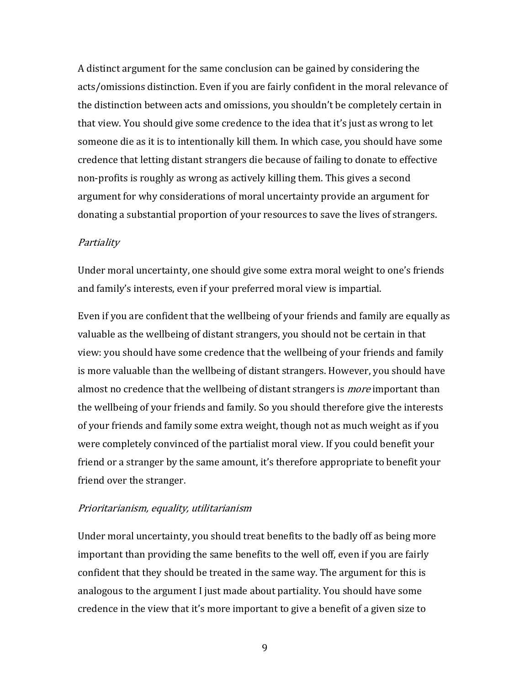A distinct argument for the same conclusion can be gained by considering the acts/omissions distinction. Even if you are fairly confident in the moral relevance of the distinction between acts and omissions, you shouldn't be completely certain in that view. You should give some credence to the idea that it's just as wrong to let someone die as it is to intentionally kill them. In which case, you should have some credence that letting distant strangers die because of failing to donate to effective non-profits is roughly as wrong as actively killing them. This gives a second argument for why considerations of moral uncertainty provide an argument for donating a substantial proportion of your resources to save the lives of strangers.

#### **Partiality**

Under moral uncertainty, one should give some extra moral weight to one's friends and family's interests, even if your preferred moral view is impartial.

Even if you are confident that the wellbeing of your friends and family are equally as valuable as the wellbeing of distant strangers, you should not be certain in that view: you should have some credence that the wellbeing of your friends and family is more valuable than the wellbeing of distant strangers. However, you should have almost no credence that the wellbeing of distant strangers is *more* important than the wellbeing of your friends and family. So you should therefore give the interests of your friends and family some extra weight, though not as much weight as if you were completely convinced of the partialist moral view. If you could benefit your friend or a stranger by the same amount, it's therefore appropriate to benefit your friend over the stranger.

#### Prioritarianism, equality, utilitarianism

Under moral uncertainty, you should treat benefits to the badly off as being more important than providing the same benefits to the well off, even if you are fairly confident that they should be treated in the same way. The argument for this is analogous to the argument I just made about partiality. You should have some credence in the view that it's more important to give a benefit of a given size to

9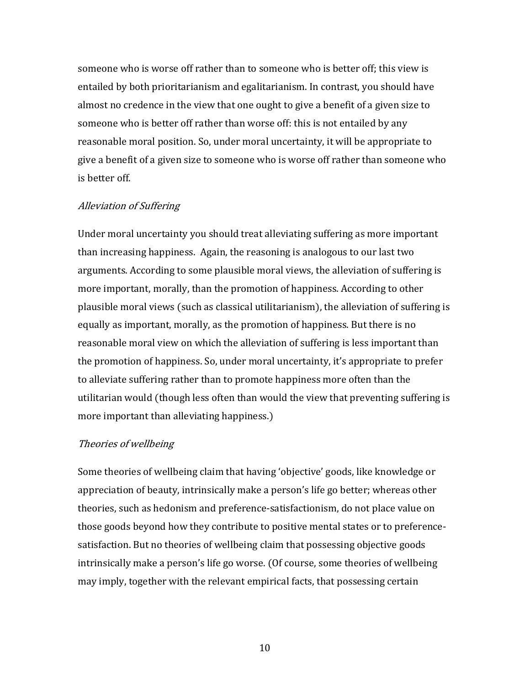someone who is worse off rather than to someone who is better off; this view is entailed by both prioritarianism and egalitarianism. In contrast, you should have almost no credence in the view that one ought to give a benefit of a given size to someone who is better off rather than worse off: this is not entailed by any reasonable moral position. So, under moral uncertainty, it will be appropriate to give a benefit of a given size to someone who is worse off rather than someone who is better off.

#### Alleviation of Suffering

Under moral uncertainty you should treat alleviating suffering as more important than increasing happiness. Again, the reasoning is analogous to our last two arguments. According to some plausible moral views, the alleviation of suffering is more important, morally, than the promotion of happiness. According to other plausible moral views (such as classical utilitarianism), the alleviation of suffering is equally as important, morally, as the promotion of happiness. But there is no reasonable moral view on which the alleviation of suffering is less important than the promotion of happiness. So, under moral uncertainty, it's appropriate to prefer to alleviate suffering rather than to promote happiness more often than the utilitarian would (though less often than would the view that preventing suffering is more important than alleviating happiness.)

#### Theories of wellbeing

Some theories of wellbeing claim that having 'objective' goods, like knowledge or appreciation of beauty, intrinsically make a person's life go better; whereas other theories, such as hedonism and preference-satisfactionism, do not place value on those goods beyond how they contribute to positive mental states or to preferencesatisfaction. But no theories of wellbeing claim that possessing objective goods intrinsically make a person's life go worse. (Of course, some theories of wellbeing may imply, together with the relevant empirical facts, that possessing certain

10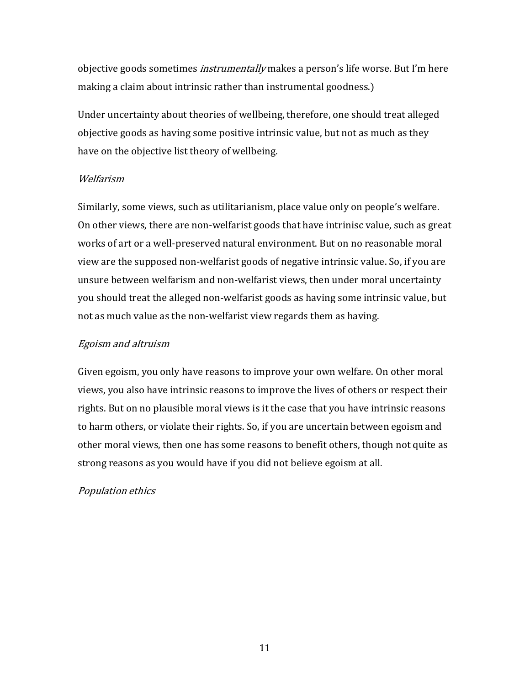objective goods sometimes *instrumentally* makes a person's life worse. But I'm here making a claim about intrinsic rather than instrumental goodness.)

Under uncertainty about theories of wellbeing, therefore, one should treat alleged objective goods as having some positive intrinsic value, but not as much as they have on the objective list theory of wellbeing.

## Welfarism

Similarly, some views, such as utilitarianism, place value only on people's welfare. On other views, there are non-welfarist goods that have intrinisc value, such as great works of art or a well-preserved natural environment. But on no reasonable moral view are the supposed non-welfarist goods of negative intrinsic value. So, if you are unsure between welfarism and non-welfarist views, then under moral uncertainty you should treat the alleged non-welfarist goods as having some intrinsic value, but not as much value as the non-welfarist view regards them as having.

## Egoism and altruism

Given egoism, you only have reasons to improve your own welfare. On other moral views, you also have intrinsic reasons to improve the lives of others or respect their rights. But on no plausible moral views is it the case that you have intrinsic reasons to harm others, or violate their rights. So, if you are uncertain between egoism and other moral views, then one has some reasons to benefit others, though not quite as strong reasons as you would have if you did not believe egoism at all.

## Population ethics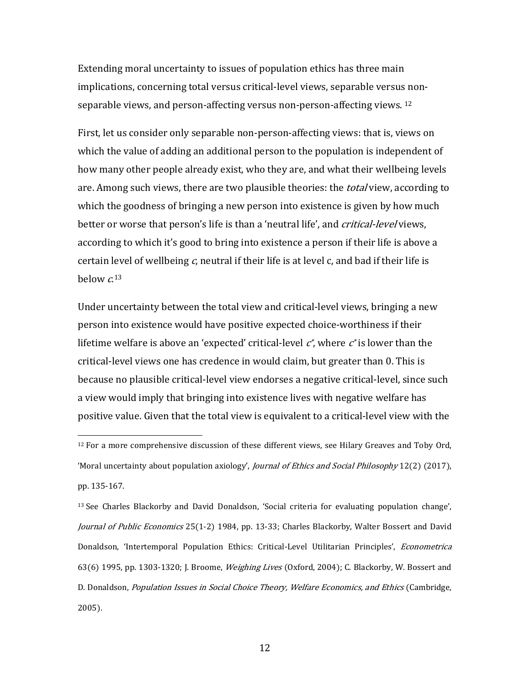Extending moral uncertainty to issues of population ethics has three main implications, concerning total versus critical-level views, separable versus nonseparable views, and person-affecting versus non-person-affecting views. [12](#page-11-0)

First, let us consider only separable non-person-affecting views: that is, views on which the value of adding an additional person to the population is independent of how many other people already exist, who they are, and what their wellbeing levels are. Among such views, there are two plausible theories: the *total* view, according to which the goodness of bringing a new person into existence is given by how much better or worse that person's life is than a 'neutral life', and *critical-level* views, according to which it's good to bring into existence a person if their life is above a certain level of wellbeing  $c$ , neutral if their life is at level  $c$ , and bad if their life is below  $c^{13}$  $c^{13}$  $c^{13}$ 

Under uncertainty between the total view and critical-level views, bringing a new person into existence would have positive expected choice-worthiness if their lifetime welfare is above an 'expected' critical-level  $c^*$ , where  $c^*$  is lower than the critical-level views one has credence in would claim, but greater than 0. This is because no plausible critical-level view endorses a negative critical-level, since such a view would imply that bringing into existence lives with negative welfare has positive value. Given that the total view is equivalent to a critical-level view with the

<span id="page-11-1"></span><sup>13</sup> See Charles Blackorby and David Donaldson, 'Social criteria for evaluating population change', Journal of Public Economics 25(1-2) 1984, pp. 13-33; Charles Blackorby, Walter Bossert and David Donaldson, 'Intertemporal Population Ethics: Critical-Level Utilitarian Principles', Econometrica 63(6) 1995, pp. 1303-1320; J. Broome, *Weighing Lives* (Oxford, 2004); C. Blackorby, W. Bossert and D. Donaldson, Population Issues in Social Choice Theory, Welfare Economics, and Ethics (Cambridge, 2005).

<span id="page-11-0"></span> $12$  For a more comprehensive discussion of these different views, see Hilary Greaves and Toby Ord, 'Moral uncertainty about population axiology', Journal of Ethics and Social Philosophy 12(2) (2017), pp. 135-167. i<br>I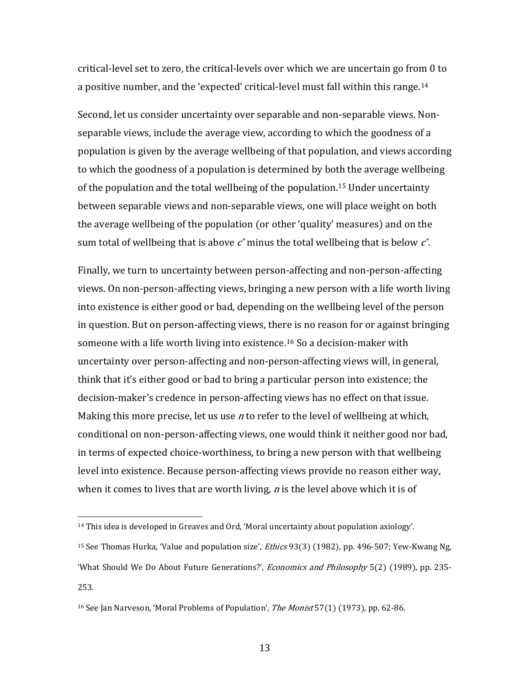critical-level set to zero, the critical-levels over which we are uncertain go from 0 to a positive number, and the 'expected' critical-level must fall within this range.[14](#page-12-0)

Second, let us consider uncertainty over separable and non-separable views. Nonseparable views, include the average view, according to which the goodness of a population is given by the average wellbeing of that population, and views according to which the goodness of a population is determined by both the average wellbeing of the population and the total wellbeing of the population.<sup>[15](#page-12-1)</sup> Under uncertainty between separable views and non-separable views, one will place weight on both the average wellbeing of the population (or other 'quality' measures) and on the sum total of wellbeing that is above  $c^*$  minus the total wellbeing that is below  $c^*$ .

Finally, we turn to uncertainty between person-affecting and non-person-affecting views. On non-person-affecting views, bringing a new person with a life worth living into existence is either good or bad, depending on the wellbeing level of the person in question. But on person-affecting views, there is no reason for or against bringing someone with a life worth living into existence.[16](#page-12-2) So a decision-maker with uncertainty over person-affecting and non-person-affecting views will, in general, think that it's either good or bad to bring a particular person into existence; the decision-maker's credence in person-affecting views has no effect on that issue. Making this more precise, let us use  $n$  to refer to the level of wellbeing at which, conditional on non-person-affecting views, one would think it neither good nor bad, in terms of expected choice-worthiness, to bring a new person with that wellbeing level into existence. Because person-affecting views provide no reason either way, when it comes to lives that are worth living,  $n$  is the level above which it is of

<span id="page-12-0"></span><sup>14</sup> This idea is developed in Greaves and Ord, 'Moral uncertainty about population axiology'. i<br>I

<span id="page-12-1"></span><sup>&</sup>lt;sup>15</sup> See Thomas Hurka, 'Value and population size', *Ethics* 93(3) (1982), pp. 496-507; Yew-Kwang Ng, 'What Should We Do About Future Generations?', Economics and Philosophy 5(2) (1989), pp. 235- 253.

<span id="page-12-2"></span><sup>&</sup>lt;sup>16</sup> See Jan Narveson, 'Moral Problems of Population', *The Monist* 57(1) (1973), pp. 62-86.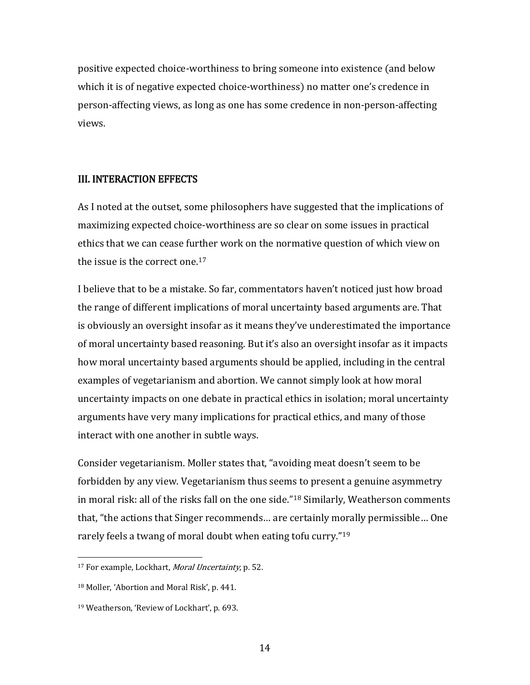positive expected choice-worthiness to bring someone into existence (and below which it is of negative expected choice-worthiness) no matter one's credence in person-affecting views, as long as one has some credence in non-person-affecting views.

### III. INTERACTION EFFECTS

As I noted at the outset, some philosophers have suggested that the implications of maximizing expected choice-worthiness are so clear on some issues in practical ethics that we can cease further work on the normative question of which view on the issue is the correct one.<sup>[17](#page-13-0)</sup>

I believe that to be a mistake. So far, commentators haven't noticed just how broad the range of different implications of moral uncertainty based arguments are. That is obviously an oversight insofar as it means they've underestimated the importance of moral uncertainty based reasoning. But it's also an oversight insofar as it impacts how moral uncertainty based arguments should be applied, including in the central examples of vegetarianism and abortion. We cannot simply look at how moral uncertainty impacts on one debate in practical ethics in isolation; moral uncertainty arguments have very many implications for practical ethics, and many of those interact with one another in subtle ways.

Consider vegetarianism. Moller states that, "avoiding meat doesn't seem to be forbidden by any view. Vegetarianism thus seems to present a genuine asymmetry in moral risk: all of the risks fall on the one side."[18](#page-13-1) Similarly, Weatherson comments that, "the actions that Singer recommends… are certainly morally permissible… One rarely feels a twang of moral doubt when eating tofu curry."[19](#page-13-2)

<span id="page-13-0"></span><sup>&</sup>lt;sup>17</sup> For example, Lockhart, *Moral Uncertainty*, p. 52. i<br>I

<span id="page-13-1"></span><sup>18</sup> Moller, 'Abortion and Moral Risk', p. 441.

<span id="page-13-2"></span><sup>19</sup> Weatherson, 'Review of Lockhart', p. 693.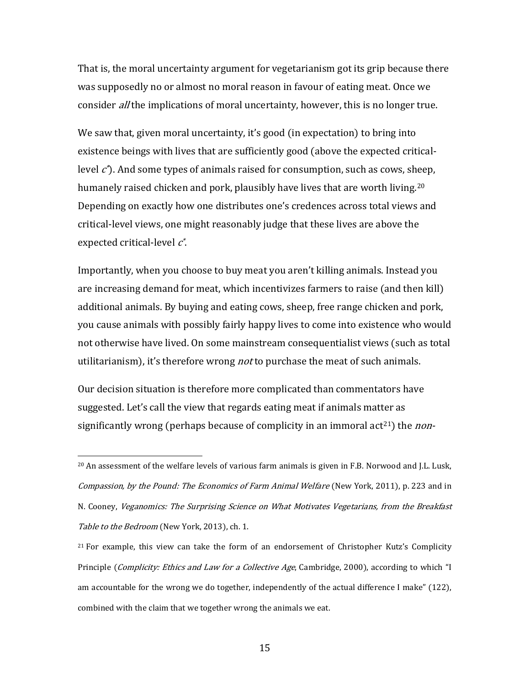That is, the moral uncertainty argument for vegetarianism got its grip because there was supposedly no or almost no moral reason in favour of eating meat. Once we consider *all* the implications of moral uncertainty, however, this is no longer true.

We saw that, given moral uncertainty, it's good (in expectation) to bring into existence beings with lives that are sufficiently good (above the expected criticallevel  $\vec{c}$ ). And some types of animals raised for consumption, such as cows, s[hee](#page-14-0)p, humanely raised chicken and pork, plausibly have lives that are worth living. 20 Depending on exactly how one distributes one's credences across total views and critical-level views, one might reasonably judge that these lives are above the expected critical-level  $c^*$ .

Importantly, when you choose to buy meat you aren't killing animals. Instead you are increasing demand for meat, which incentivizes farmers to raise (and then kill) additional animals. By buying and eating cows, sheep, free range chicken and pork, you cause animals with possibly fairly happy lives to come into existence who would not otherwise have lived. On some mainstream consequentialist views (such as total utilitarianism), it's therefore wrong *not* to purchase the meat of such animals.

Our decision situation is therefore more complicated than commentators have suggested. Let's call the view that regards eating meat if animals matter as significantly wrong (perhaps because of complicity in an immoral act<sup>[21](#page-14-1)</sup>) the *non*-

<span id="page-14-0"></span> $^{20}$  An assessment of the welfare levels of various farm animals is given in F.B. Norwood and J.L. Lusk, Compassion, by the Pound: The Economics of Farm Animal Welfare (New York, 2011), p. 223 and in N. Cooney, Veganomics: The Surprising Science on What Motivates Vegetarians, from the Breakfast Table to the Bedroom (New York, 2013), ch. 1. I

<span id="page-14-1"></span><sup>&</sup>lt;sup>21</sup> For example, this view can take the form of an endorsement of Christopher Kutz's Complicity Principle (Complicity: Ethics and Law for a Collective Age, Cambridge, 2000), according to which "I am accountable for the wrong we do together, independently of the actual difference I make" (122), combined with the claim that we together wrong the animals we eat.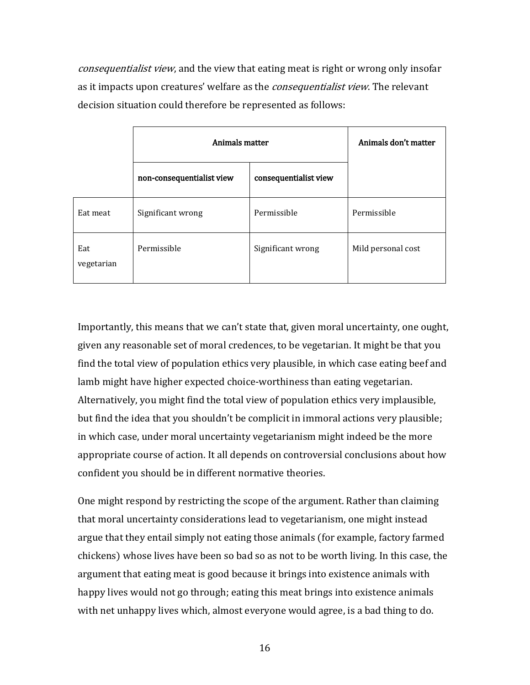consequentialist view, and the view that eating meat is right or wrong only insofar as it impacts upon creatures' welfare as the *consequentialist view*. The relevant decision situation could therefore be represented as follows:

|                   | Animals matter            | Animals don't matter  |                    |
|-------------------|---------------------------|-----------------------|--------------------|
|                   | non-consequentialist view | consequentialist view |                    |
| Eat meat          | Significant wrong         | Permissible           | Permissible        |
| Eat<br>vegetarian | Permissible               | Significant wrong     | Mild personal cost |

Importantly, this means that we can't state that, given moral uncertainty, one ought, given any reasonable set of moral credences, to be vegetarian. It might be that you find the total view of population ethics very plausible, in which case eating beef and lamb might have higher expected choice-worthiness than eating vegetarian. Alternatively, you might find the total view of population ethics very implausible, but find the idea that you shouldn't be complicit in immoral actions very plausible; in which case, under moral uncertainty vegetarianism might indeed be the more appropriate course of action. It all depends on controversial conclusions about how confident you should be in different normative theories.

One might respond by restricting the scope of the argument. Rather than claiming that moral uncertainty considerations lead to vegetarianism, one might instead argue that they entail simply not eating those animals (for example, factory farmed chickens) whose lives have been so bad so as not to be worth living. In this case, the argument that eating meat is good because it brings into existence animals with happy lives would not go through; eating this meat brings into existence animals with net unhappy lives which, almost everyone would agree, is a bad thing to do.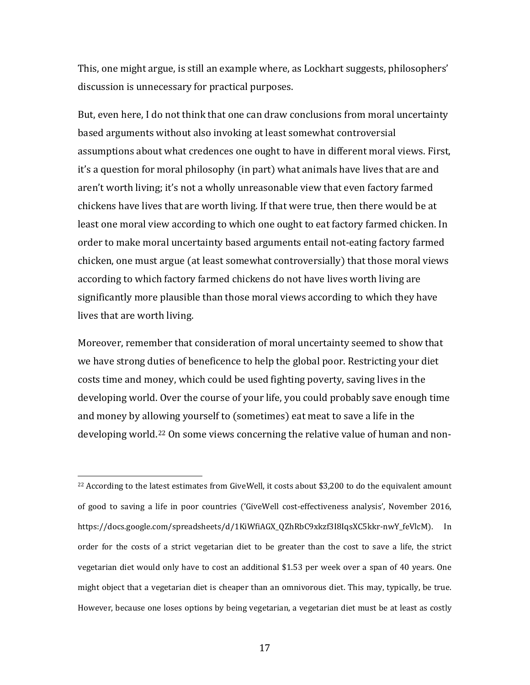This, one might argue, is still an example where, as Lockhart suggests, philosophers' discussion is unnecessary for practical purposes.

But, even here, I do not think that one can draw conclusions from moral uncertainty based arguments without also invoking at least somewhat controversial assumptions about what credences one ought to have in different moral views. First, it's a question for moral philosophy (in part) what animals have lives that are and aren't worth living; it's not a wholly unreasonable view that even factory farmed chickens have lives that are worth living. If that were true, then there would be at least one moral view according to which one ought to eat factory farmed chicken. In order to make moral uncertainty based arguments entail not-eating factory farmed chicken, one must argue (at least somewhat controversially) that those moral views according to which factory farmed chickens do not have lives worth living are significantly more plausible than those moral views according to which they have lives that are worth living.

Moreover, remember that consideration of moral uncertainty seemed to show that we have strong duties of beneficence to help the global poor. Restricting your diet costs time and money, which could be used fighting poverty, saving lives in the developing world. Over the course of your life, you could probably save enough time and money by allowing yourself to (sometimes) eat meat to save a life in the developing world.[22](#page-16-0) On some views concerning the relative value of human and non-

<span id="page-16-0"></span> $^{22}$  According to the latest estimates from GiveWell, it costs about \$3,200 to do the equivalent amount of good to saving a life in poor countries ('GiveWell cost-effectiveness analysis', November 2016, https://docs.google.com/spreadsheets/d/1KiWfiAGX\_QZhRbC9xkzf3I8IqsXC5kkr-nwY\_feVlcM). In order for the costs of a strict vegetarian diet to be greater than the cost to save a life, the strict vegetarian diet would only have to cost an additional \$1.53 per week over a span of 40 years. One might object that a vegetarian diet is cheaper than an omnivorous diet. This may, typically, be true. However, because one loses options by being vegetarian, a vegetarian diet must be at least as costly i<br>I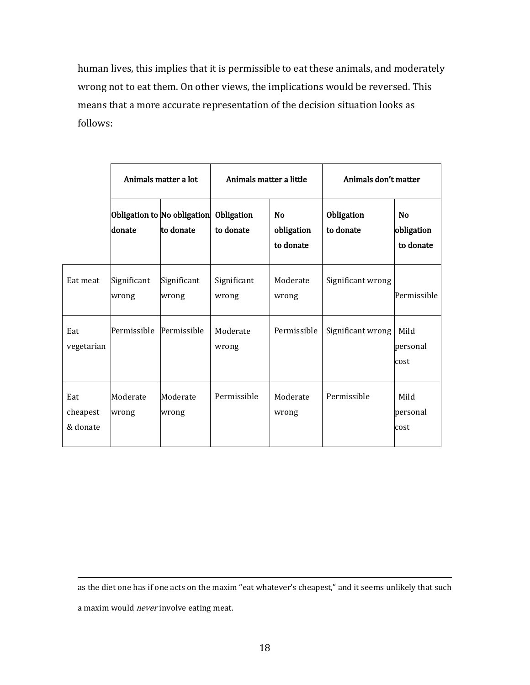human lives, this implies that it is permissible to eat these animals, and moderately wrong not to eat them. On other views, the implications would be reversed. This means that a more accurate representation of the decision situation looks as follows:

|                             | Animals matter a lot |                                                     | Animals matter a little |                                      | Animals don't matter    |                                      |
|-----------------------------|----------------------|-----------------------------------------------------|-------------------------|--------------------------------------|-------------------------|--------------------------------------|
|                             | donate               | Obligation to No obligation Obligation<br>to donate | to donate               | <b>No</b><br>obligation<br>to donate | Obligation<br>to donate | <b>No</b><br>obligation<br>to donate |
| Eat meat                    | Significant<br>wrong | Significant<br>wrong                                | Significant<br>wrong    | Moderate<br>wrong                    | Significant wrong       | Permissible                          |
| Eat<br>vegetarian           | Permissible          | Permissible                                         | Moderate<br>wrong       | Permissible                          | Significant wrong       | Mild<br>personal<br>cost             |
| Eat<br>cheapest<br>& donate | Moderate<br>wrong    | Moderate<br>wrong                                   | Permissible             | Moderate<br>wrong                    | Permissible             | Mild<br>personal<br>cost             |

as the diet one has if one acts on the maxim "eat whatever's cheapest," and it seems unlikely that such a maxim would *never* involve eating meat. I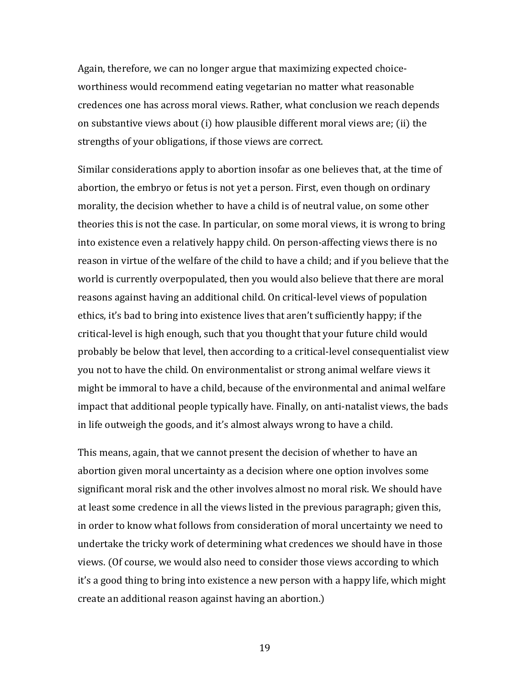Again, therefore, we can no longer argue that maximizing expected choiceworthiness would recommend eating vegetarian no matter what reasonable credences one has across moral views. Rather, what conclusion we reach depends on substantive views about (i) how plausible different moral views are; (ii) the strengths of your obligations, if those views are correct.

Similar considerations apply to abortion insofar as one believes that, at the time of abortion, the embryo or fetus is not yet a person. First, even though on ordinary morality, the decision whether to have a child is of neutral value, on some other theories this is not the case. In particular, on some moral views, it is wrong to bring into existence even a relatively happy child. On person-affecting views there is no reason in virtue of the welfare of the child to have a child; and if you believe that the world is currently overpopulated, then you would also believe that there are moral reasons against having an additional child. On critical-level views of population ethics, it's bad to bring into existence lives that aren't sufficiently happy; if the critical-level is high enough, such that you thought that your future child would probably be below that level, then according to a critical-level consequentialist view you not to have the child. On environmentalist or strong animal welfare views it might be immoral to have a child, because of the environmental and animal welfare impact that additional people typically have. Finally, on anti-natalist views, the bads in life outweigh the goods, and it's almost always wrong to have a child.

This means, again, that we cannot present the decision of whether to have an abortion given moral uncertainty as a decision where one option involves some significant moral risk and the other involves almost no moral risk. We should have at least some credence in all the views listed in the previous paragraph; given this, in order to know what follows from consideration of moral uncertainty we need to undertake the tricky work of determining what credences we should have in those views. (Of course, we would also need to consider those views according to which it's a good thing to bring into existence a new person with a happy life, which might create an additional reason against having an abortion.)

19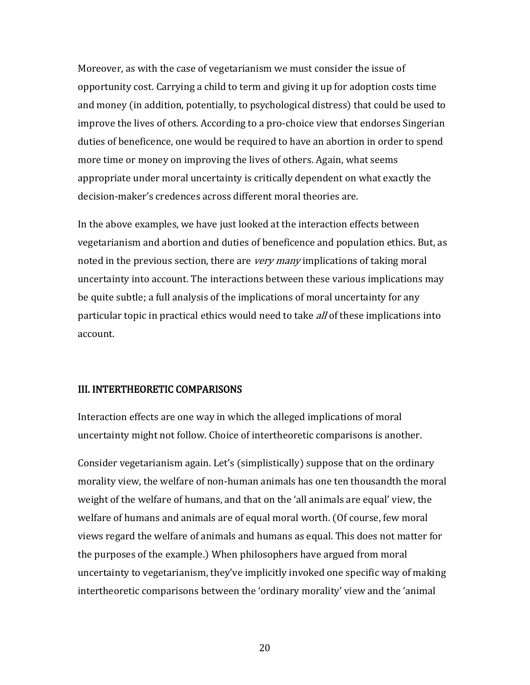Moreover, as with the case of vegetarianism we must consider the issue of opportunity cost. Carrying a child to term and giving it up for adoption costs time and money (in addition, potentially, to psychological distress) that could be used to improve the lives of others. According to a pro-choice view that endorses Singerian duties of beneficence, one would be required to have an abortion in order to spend more time or money on improving the lives of others. Again, what seems appropriate under moral uncertainty is critically dependent on what exactly the decision-maker's credences across different moral theories are.

In the above examples, we have just looked at the interaction effects between vegetarianism and abortion and duties of beneficence and population ethics. But, as noted in the previous section, there are *very many* implications of taking moral uncertainty into account. The interactions between these various implications may be quite subtle; a full analysis of the implications of moral uncertainty for any particular topic in practical ethics would need to take *all* of these implications into account.

#### III. INTERTHEORETIC COMPARISONS

Interaction effects are one way in which the alleged implications of moral uncertainty might not follow. Choice of intertheoretic comparisons is another.

Consider vegetarianism again. Let's (simplistically) suppose that on the ordinary morality view, the welfare of non-human animals has one ten thousandth the moral weight of the welfare of humans, and that on the 'all animals are equal' view, the welfare of humans and animals are of equal moral worth. (Of course, few moral views regard the welfare of animals and humans as equal. This does not matter for the purposes of the example.) When philosophers have argued from moral uncertainty to vegetarianism, they've implicitly invoked one specific way of making intertheoretic comparisons between the 'ordinary morality' view and the 'animal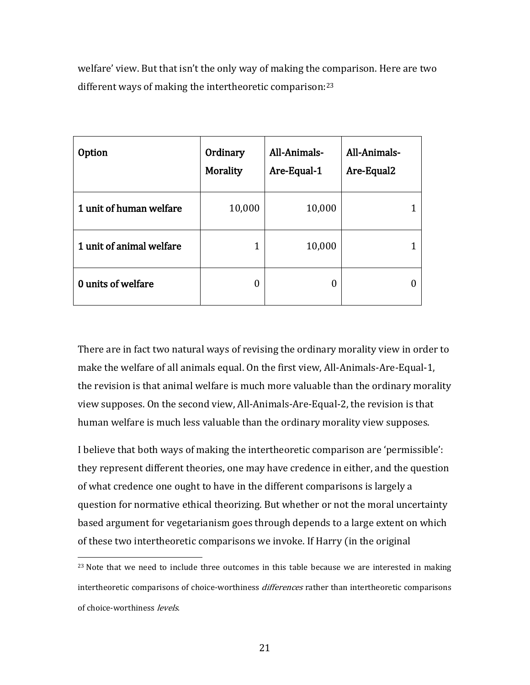welfare' view. But that isn't the only way of making the comparison. Here are two different ways of making the intertheoretic comparison:<sup>[23](#page-20-0)</sup>

| <b>Option</b>            | Ordinary<br>Morality | All-Animals-<br>Are-Equal-1 | All-Animals-<br>Are-Equal2 |
|--------------------------|----------------------|-----------------------------|----------------------------|
| 1 unit of human welfare  | 10,000               | 10,000                      |                            |
| 1 unit of animal welfare |                      | 10,000                      |                            |
| 0 units of welfare       | 0                    | O                           |                            |

There are in fact two natural ways of revising the ordinary morality view in order to make the welfare of all animals equal. On the first view, All-Animals-Are-Equal-1, the revision is that animal welfare is much more valuable than the ordinary morality view supposes. On the second view, All-Animals-Are-Equal-2, the revision is that human welfare is much less valuable than the ordinary morality view supposes.

I believe that both ways of making the intertheoretic comparison are 'permissible': they represent different theories, one may have credence in either, and the question of what credence one ought to have in the different comparisons is largely a question for normative ethical theorizing. But whether or not the moral uncertainty based argument for vegetarianism goes through depends to a large extent on which of these two intertheoretic comparisons we invoke. If Harry (in the original

<span id="page-20-0"></span> $^{23}$  Note that we need to include three outcomes in this table because we are interested in making intertheoretic comparisons of choice-worthiness *differences* rather than intertheoretic comparisons of choice-worthiness levels. i<br>I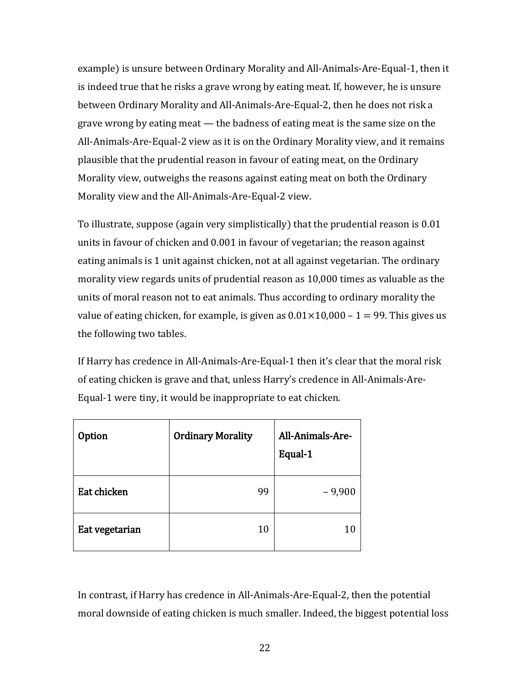example) is unsure between Ordinary Morality and All-Animals-Are-Equal-1, then it is indeed true that he risks a grave wrong by eating meat. If, however, he is unsure between Ordinary Morality and All-Animals-Are-Equal-2, then he does not risk a grave wrong by eating meat — the badness of eating meat is the same size on the All-Animals-Are-Equal-2 view as it is on the Ordinary Morality view, and it remains plausible that the prudential reason in favour of eating meat, on the Ordinary Morality view, outweighs the reasons against eating meat on both the Ordinary Morality view and the All-Animals-Are-Equal-2 view.

To illustrate, suppose (again very simplistically) that the prudential reason is 0.01 units in favour of chicken and 0.001 in favour of vegetarian; the reason against eating animals is 1 unit against chicken, not at all against vegetarian. The ordinary morality view regards units of prudential reason as 10,000 times as valuable as the units of moral reason not to eat animals. Thus according to ordinary morality the value of eating chicken, for example, is given as  $0.01 \times 10,000 - 1 = 99$ . This gives us the following two tables.

If Harry has credence in All-Animals-Are-Equal-1 then it's clear that the moral risk of eating chicken is grave and that, unless Harry's credence in All-Animals-Are-Equal-1 were tiny, it would be inappropriate to eat chicken.

| <b>Option</b>  | <b>Ordinary Morality</b> | All-Animals-Are-<br>Equal-1 |
|----------------|--------------------------|-----------------------------|
| Eat chicken    | 99                       | $-9,900$                    |
| Eat vegetarian | 10                       | 10                          |

In contrast, if Harry has credence in All-Animals-Are-Equal-2, then the potential moral downside of eating chicken is much smaller. Indeed, the biggest potential loss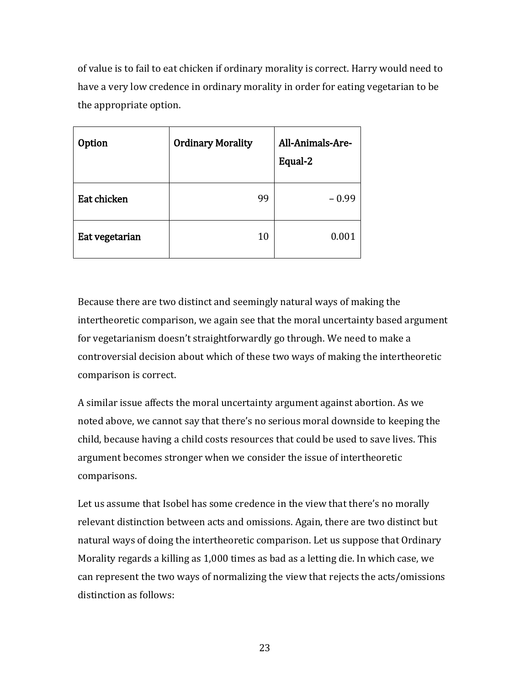of value is to fail to eat chicken if ordinary morality is correct. Harry would need to have a very low credence in ordinary morality in order for eating vegetarian to be the appropriate option.

| <b>Option</b>  | <b>Ordinary Morality</b> | All-Animals-Are-<br>Equal-2 |
|----------------|--------------------------|-----------------------------|
| Eat chicken    | 99                       | $-0.99$                     |
| Eat vegetarian | 10                       | 0.001                       |

Because there are two distinct and seemingly natural ways of making the intertheoretic comparison, we again see that the moral uncertainty based argument for vegetarianism doesn't straightforwardly go through. We need to make a controversial decision about which of these two ways of making the intertheoretic comparison is correct.

A similar issue affects the moral uncertainty argument against abortion. As we noted above, we cannot say that there's no serious moral downside to keeping the child, because having a child costs resources that could be used to save lives. This argument becomes stronger when we consider the issue of intertheoretic comparisons.

Let us assume that Isobel has some credence in the view that there's no morally relevant distinction between acts and omissions. Again, there are two distinct but natural ways of doing the intertheoretic comparison. Let us suppose that Ordinary Morality regards a killing as 1,000 times as bad as a letting die. In which case, we can represent the two ways of normalizing the view that rejects the acts/omissions distinction as follows: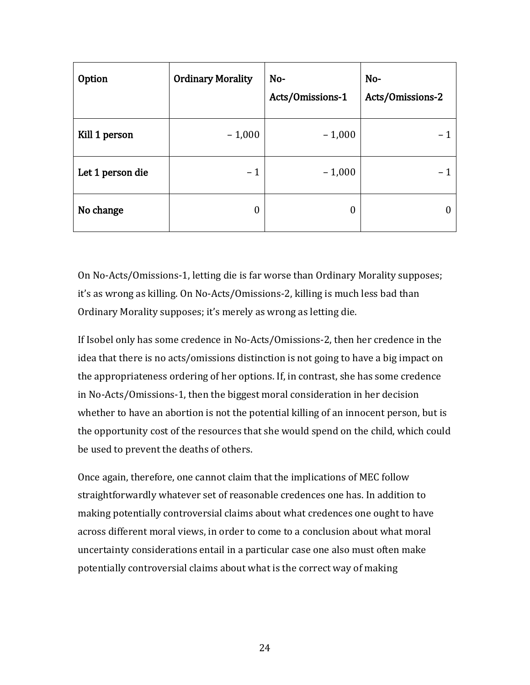| Option           | <b>Ordinary Morality</b> | No-<br>Acts/Omissions-1 | No-<br>Acts/Omissions-2 |
|------------------|--------------------------|-------------------------|-------------------------|
| Kill 1 person    | $-1,000$                 | $-1,000$                |                         |
| Let 1 person die | $-1$                     | $-1,000$                |                         |
| No change        | 0                        | $\boldsymbol{0}$        |                         |

On No-Acts/Omissions-1, letting die is far worse than Ordinary Morality supposes; it's as wrong as killing. On No-Acts/Omissions-2, killing is much less bad than Ordinary Morality supposes; it's merely as wrong as letting die.

If Isobel only has some credence in No-Acts/Omissions-2, then her credence in the idea that there is no acts/omissions distinction is not going to have a big impact on the appropriateness ordering of her options. If, in contrast, she has some credence in No-Acts/Omissions-1, then the biggest moral consideration in her decision whether to have an abortion is not the potential killing of an innocent person, but is the opportunity cost of the resources that she would spend on the child, which could be used to prevent the deaths of others.

Once again, therefore, one cannot claim that the implications of MEC follow straightforwardly whatever set of reasonable credences one has. In addition to making potentially controversial claims about what credences one ought to have across different moral views, in order to come to a conclusion about what moral uncertainty considerations entail in a particular case one also must often make potentially controversial claims about what is the correct way of making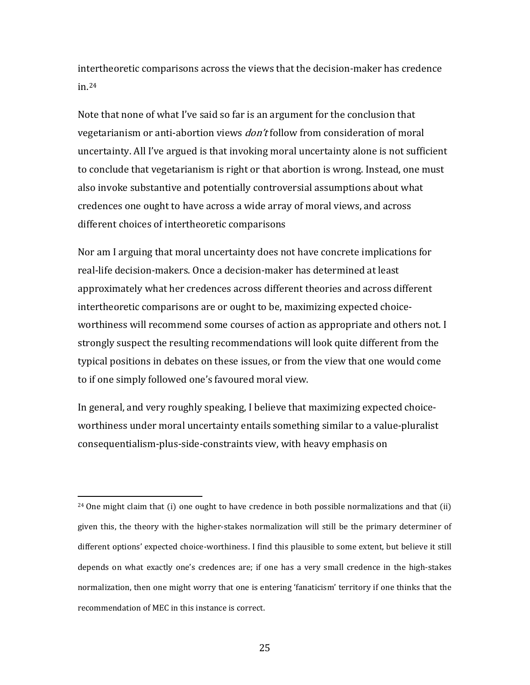intertheoretic comparisons across the views that the decision-maker has credence in.[24](#page-24-0)

Note that none of what I've said so far is an argument for the conclusion that vegetarianism or anti-abortion views *don't* follow from consideration of moral uncertainty. All I've argued is that invoking moral uncertainty alone is not sufficient to conclude that vegetarianism is right or that abortion is wrong. Instead, one must also invoke substantive and potentially controversial assumptions about what credences one ought to have across a wide array of moral views, and across different choices of intertheoretic comparisons

Nor am I arguing that moral uncertainty does not have concrete implications for real-life decision-makers. Once a decision-maker has determined at least approximately what her credences across different theories and across different intertheoretic comparisons are or ought to be, maximizing expected choiceworthiness will recommend some courses of action as appropriate and others not. I strongly suspect the resulting recommendations will look quite different from the typical positions in debates on these issues, or from the view that one would come to if one simply followed one's favoured moral view.

In general, and very roughly speaking, I believe that maximizing expected choiceworthiness under moral uncertainty entails something similar to a value-pluralist consequentialism-plus-side-constraints view, with heavy emphasis on

<span id="page-24-0"></span><sup>&</sup>lt;sup>24</sup> One might claim that (i) one ought to have credence in both possible normalizations and that (ii) given this, the theory with the higher-stakes normalization will still be the primary determiner of different options' expected choice-worthiness. I find this plausible to some extent, but believe it still depends on what exactly one's credences are; if one has a very small credence in the high-stakes normalization, then one might worry that one is entering 'fanaticism' territory if one thinks that the recommendation of MEC in this instance is correct. i<br>I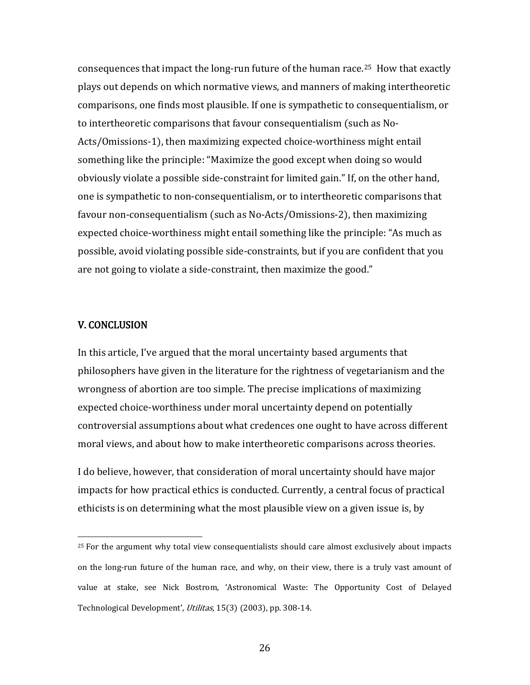consequences that impact the long-run future of the human race.[25](#page-25-0) How that exactly plays out depends on which normative views, and manners of making intertheoretic comparisons, one finds most plausible. If one is sympathetic to consequentialism, or to intertheoretic comparisons that favour consequentialism (such as No-Acts/Omissions-1), then maximizing expected choice-worthiness might entail something like the principle: "Maximize the good except when doing so would obviously violate a possible side-constraint for limited gain." If, on the other hand, one is sympathetic to non-consequentialism, or to intertheoretic comparisons that favour non-consequentialism (such as No-Acts/Omissions-2), then maximizing expected choice-worthiness might entail something like the principle: "As much as possible, avoid violating possible side-constraints, but if you are confident that you are not going to violate a side-constraint, then maximize the good."

#### V. CONCLUSION

In this article, I've argued that the moral uncertainty based arguments that philosophers have given in the literature for the rightness of vegetarianism and the wrongness of abortion are too simple. The precise implications of maximizing expected choice-worthiness under moral uncertainty depend on potentially controversial assumptions about what credences one ought to have across different moral views, and about how to make intertheoretic comparisons across theories.

I do believe, however, that consideration of moral uncertainty should have major impacts for how practical ethics is conducted. Currently, a central focus of practical ethicists is on determining what the most plausible view on a given issue is, by

<span id="page-25-0"></span> $25$  For the argument why total view consequentialists should care almost exclusively about impacts on the long-run future of the human race, and why, on their view, there is a truly vast amount of value at stake, see Nick Bostrom, 'Astronomical Waste: The Opportunity Cost of Delayed Technological Development', Utilitas, 15(3) (2003), pp. 308-14. I